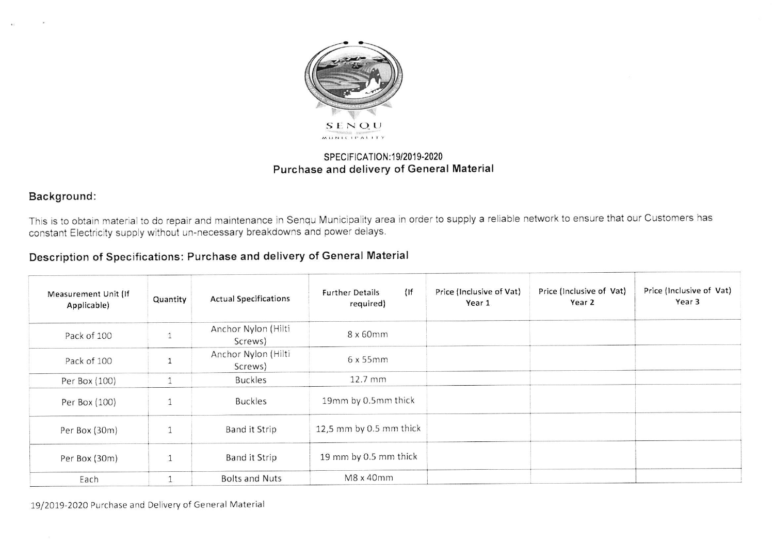

## SPECIFICATION: 19/2019-2020 Purchase and delivery of General Material

## Background:

This is to obtain material to do repair and maintenance in Senqu Municipality area in order to supply a reliable network to ensure that our Customers has constant Electricity supply without un-necessary breakdowns and power delays.

## Description of Specifications: Purchase and delivery of General Material

| Measurement Unit (If<br>Applicable) | Quantity     | <b>Actual Specifications</b>   | $($ lf<br><b>Further Details</b><br>required) | Price (Inclusive of Vat)<br>Year 1 | Price (Inclusive of Vat)<br>Year 2 | Price (Inclusive of Vat)<br>Year 3 |
|-------------------------------------|--------------|--------------------------------|-----------------------------------------------|------------------------------------|------------------------------------|------------------------------------|
| Pack of 100                         | $\mathbf{1}$ | Anchor Nylon (Hilti<br>Screws) | 8 x 60mm                                      |                                    |                                    |                                    |
| Pack of 100                         | $\mathbf{1}$ | Anchor Nylon (Hilti<br>Screws) | 6x55mm                                        |                                    |                                    |                                    |
| Per Box (100)                       |              | <b>Buckles</b>                 | 12.7 mm                                       |                                    |                                    |                                    |
| Per Box (100)                       | $\mathbf{1}$ | <b>Buckles</b>                 | 19mm by 0.5mm thick                           |                                    |                                    |                                    |
| Per Box (30m)                       | $\mathbf{1}$ | <b>Band it Strip</b>           | 12,5 mm by 0.5 mm thick                       |                                    |                                    |                                    |
| Per Box (30m)                       | $\perp$      | <b>Band it Strip</b>           | 19 mm by 0.5 mm thick                         |                                    |                                    |                                    |
| Each                                |              | <b>Bolts and Nuts</b>          | M8 x 40mm                                     |                                    |                                    |                                    |

19/2019-2020 Purchase and Delivery of General Material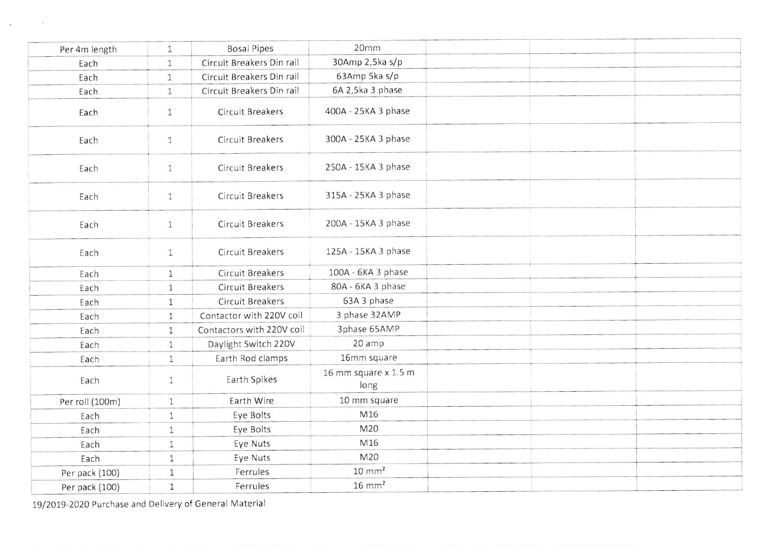| Per 4m length   | $\mathbf{1}$ | <b>Bosal Pipes</b>        | 20mm                         |  |  |
|-----------------|--------------|---------------------------|------------------------------|--|--|
| Each            | $\mathbf{1}$ | Circuit Breakers Din rail | 30Amp 2,5ka s/p              |  |  |
| Each            | $\mathbf{1}$ | Circuit Breakers Din rail | 63Amp 5ka s/p                |  |  |
| Each            | $\mathbf{1}$ | Circuit Breakers Din rail | 6A 2,5ka 3 phase             |  |  |
| Each            | $\mathbf{1}$ | <b>Circuit Breakers</b>   | 400A - 25KA 3 phase          |  |  |
| Each            | $\mathbf{1}$ | <b>Circuit Breakers</b>   | 300A - 25KA 3 phase          |  |  |
| Each            | $\mathbf{1}$ | Circuit Breakers          | 250A - 15KA 3 phase          |  |  |
| Each            | $\mathbf{1}$ | Circuit Breakers          | 315A - 25KA 3 phase          |  |  |
| Each            | $\mathbf{1}$ | <b>Circuit Breakers</b>   | 200A - 15KA 3 phase          |  |  |
| Each            | $\mathbf{1}$ | Circuit Breakers          | 125A - 15KA 3 phase          |  |  |
| Each            | $\mathbf{1}$ | Circuit Breakers          | 100A - 6KA 3 phase           |  |  |
| Each            | $\mathbf{1}$ | Circuit Breakers          | 80A - 6KA 3 phase            |  |  |
| Each            | $\mathbf{1}$ | Circuit Breakers          | 63A 3 phase                  |  |  |
| Each            | $\mathbf{1}$ | Contactor with 220V coil  | 3 phase 32AMP                |  |  |
| Each            | $\mathbf{1}$ | Contactors with 220V coil | 3phase 65AMP                 |  |  |
| Each            | $\mathbf{1}$ | Daylight Switch 220V      | 20 amp                       |  |  |
| Each            | $\mathbf{1}$ | Earth Rod clamps          | 16mm square                  |  |  |
| Each            | $\mathbf{1}$ | Earth Spikes              | 16 mm square x 1.5 m<br>long |  |  |
| Per roll (100m) | $\mathbf{1}$ | Earth Wire                | 10 mm square                 |  |  |
| Each            | $\mathbf{1}$ | Eye Bolts                 | M16                          |  |  |
| Each            | $\mathbf{1}$ | Eye Bolts                 | M20                          |  |  |
| Each            | $\mathbf{1}$ | Eye Nuts                  | M16                          |  |  |
| Each            | $\mathbf{1}$ | Eye Nuts                  | M20                          |  |  |
| Per pack (100)  | $\mathbf{1}$ | Ferrules                  | $10 \text{ mm}^2$            |  |  |
| Per pack (100)  | $\mathbf{1}$ | Ferrules                  | $16 \text{ mm}^2$            |  |  |

19/2019-2020 Purchase and Delivery of General Material

 $\sim$  100

 $\sim$